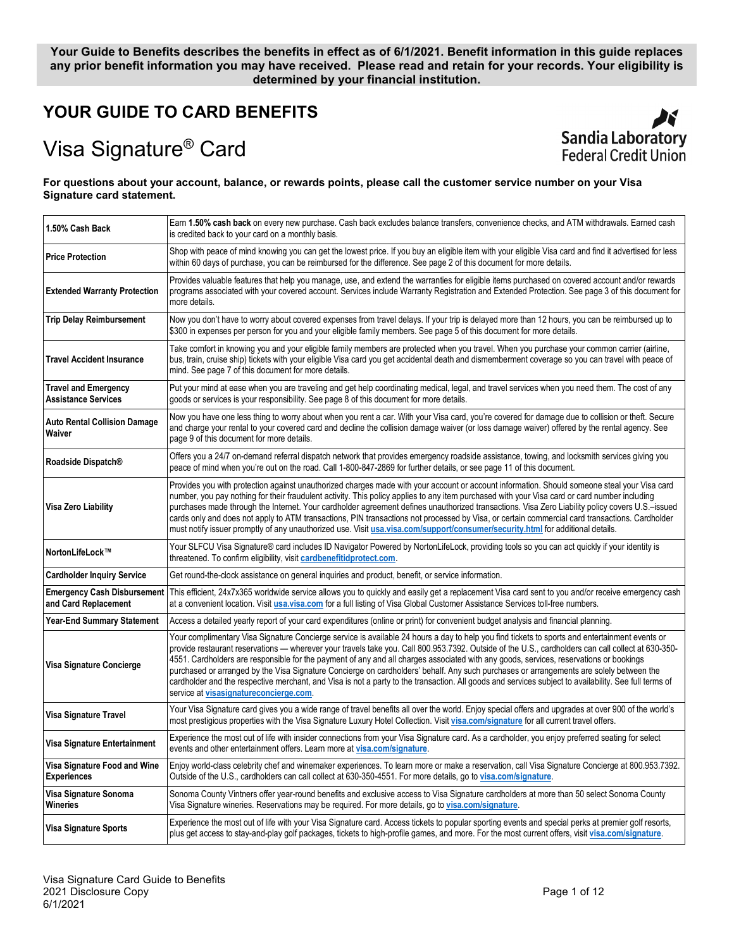# **Your Guide to Benefits describes the benefits in effect as of 6/1/2021. Benefit information in this guide replaces any prior benefit information you may have received. Please read and retain for your records. Your eligibility is determined by your financial institution.**

# **YOUR GUIDE TO CARD BENEFITS**

# Visa Signature® Card



#### **For questions about your account, balance, or rewards points, please call the customer service number on your Visa Signature card statement.**

| 1.50% Cash Back                                            | Earn 1.50% cash back on every new purchase. Cash back excludes balance transfers, convenience checks, and ATM withdrawals. Earned cash<br>is credited back to your card on a monthly basis.                                                                                                                                                                                                                                                                                                                                                                                                                                                                                                                                                                                                  |
|------------------------------------------------------------|----------------------------------------------------------------------------------------------------------------------------------------------------------------------------------------------------------------------------------------------------------------------------------------------------------------------------------------------------------------------------------------------------------------------------------------------------------------------------------------------------------------------------------------------------------------------------------------------------------------------------------------------------------------------------------------------------------------------------------------------------------------------------------------------|
| <b>Price Protection</b>                                    | Shop with peace of mind knowing you can get the lowest price. If you buy an eligible item with your eligible Visa card and find it advertised for less<br>within 60 days of purchase, you can be reimbursed for the difference. See page 2 of this document for more details.                                                                                                                                                                                                                                                                                                                                                                                                                                                                                                                |
| <b>Extended Warranty Protection</b>                        | Provides valuable features that help you manage, use, and extend the warranties for eligible items purchased on covered account and/or rewards<br>programs associated with your covered account. Services include Warranty Registration and Extended Protection. See page 3 of this document for<br>more details.                                                                                                                                                                                                                                                                                                                                                                                                                                                                            |
| <b>Trip Delay Reimbursement</b>                            | Now you don't have to worry about covered expenses from travel delays. If your trip is delayed more than 12 hours, you can be reimbursed up to<br>\$300 in expenses per person for you and your eligible family members. See page 5 of this document for more details.                                                                                                                                                                                                                                                                                                                                                                                                                                                                                                                       |
| <b>Travel Accident Insurance</b>                           | Take comfort in knowing you and your eligible family members are protected when you travel. When you purchase your common carrier (airline,<br>bus, train, cruise ship) tickets with your eligible Visa card you get accidental death and dismemberment coverage so you can travel with peace of<br>mind. See page 7 of this document for more details.                                                                                                                                                                                                                                                                                                                                                                                                                                      |
| <b>Travel and Emergency</b><br><b>Assistance Services</b>  | Put your mind at ease when you are traveling and get help coordinating medical, legal, and travel services when you need them. The cost of any<br>goods or services is your responsibility. See page 8 of this document for more details.                                                                                                                                                                                                                                                                                                                                                                                                                                                                                                                                                    |
| <b>Auto Rental Collision Damage</b><br>Waiver              | Now you have one less thing to worry about when you rent a car. With your Visa card, you're covered for damage due to collision or theft. Secure<br>and charge your rental to your covered card and decline the collision damage waiver (or loss damage waiver) offered by the rental agency. See<br>page 9 of this document for more details.                                                                                                                                                                                                                                                                                                                                                                                                                                               |
| Roadside Dispatch®                                         | Offers you a 24/7 on-demand referral dispatch network that provides emergency roadside assistance, towing, and locksmith services giving you<br>peace of mind when you're out on the road. Call 1-800-847-2869 for further details, or see page 11 of this document.                                                                                                                                                                                                                                                                                                                                                                                                                                                                                                                         |
| Visa Zero Liability                                        | Provides you with protection against unauthorized charges made with your account or account information. Should someone steal your Visa card<br>number, you pay nothing for their fraudulent activity. This policy applies to any item purchased with your Visa card or card number including<br>purchases made through the Internet. Your cardholder agreement defines unauthorized transactions. Visa Zero Liability policy covers U.S.-issued<br>cards only and does not apply to ATM transactions, PIN transactions not processed by Visa, or certain commercial card transactions. Cardholder<br>must notify issuer promptly of any unauthorized use. Visit usa.visa.com/support/consumer/security.html for additional details.                                                         |
| NortonLifeLock™                                            | Your SLFCU Visa Signature® card includes ID Navigator Powered by NortonLifeLock, providing tools so you can act quickly if your identity is<br>threatened. To confirm eligibility, visit cardbenefitidprotect.com.                                                                                                                                                                                                                                                                                                                                                                                                                                                                                                                                                                           |
| <b>Cardholder Inquiry Service</b>                          | Get round-the-clock assistance on general inquiries and product, benefit, or service information.                                                                                                                                                                                                                                                                                                                                                                                                                                                                                                                                                                                                                                                                                            |
| <b>Emergency Cash Disbursement</b><br>and Card Replacement | This efficient, 24x7x365 worldwide service allows you to quickly and easily get a replacement Visa card sent to you and/or receive emergency cash<br>at a convenient location. Visit usa.visa.com for a full listing of Visa Global Customer Assistance Services toll-free numbers.                                                                                                                                                                                                                                                                                                                                                                                                                                                                                                          |
| <b>Year-End Summary Statement</b>                          | Access a detailed yearly report of your card expenditures (online or print) for convenient budget analysis and financial planning.                                                                                                                                                                                                                                                                                                                                                                                                                                                                                                                                                                                                                                                           |
| Visa Signature Concierge                                   | Your complimentary Visa Signature Concierge service is available 24 hours a day to help you find tickets to sports and entertainment events or<br>provide restaurant reservations — wherever your travels take you. Call 800.953.7392. Outside of the U.S., cardholders can call collect at 630-350-<br>4551. Cardholders are responsible for the payment of any and all charges associated with any goods, services, reservations or bookings<br>purchased or arranged by the Visa Signature Concierge on cardholders' behalf. Any such purchases or arrangements are solely between the<br>cardholder and the respective merchant, and Visa is not a party to the transaction. All goods and services subject to availability. See full terms of<br>service at visasignatureconcierge.com. |
| Visa Signature Travel                                      | Your Visa Signature card gives you a wide range of travel benefits all over the world. Enjoy special offers and upgrades at over 900 of the world's<br>most prestigious properties with the Visa Signature Luxury Hotel Collection. Visit visa.com/signature for all current travel offers.                                                                                                                                                                                                                                                                                                                                                                                                                                                                                                  |
| Visa Signature Entertainment                               | Experience the most out of life with insider connections from your Visa Signature card. As a cardholder, you enjoy preferred seating for select<br>events and other entertainment offers. Learn more at visa.com/signature.                                                                                                                                                                                                                                                                                                                                                                                                                                                                                                                                                                  |
| Visa Signature Food and Wine<br><b>Experiences</b>         | Enjoy world-class celebrity chef and winemaker experiences. To learn more or make a reservation, call Visa Signature Concierge at 800.953.7392.<br>Outside of the U.S., cardholders can call collect at 630-350-4551. For more details, go to visa.com/signature.                                                                                                                                                                                                                                                                                                                                                                                                                                                                                                                            |
| Visa Signature Sonoma<br>Wineries                          | Sonoma County Vintners offer year-round benefits and exclusive access to Visa Signature cardholders at more than 50 select Sonoma County<br>Visa Signature wineries. Reservations may be required. For more details, go to visa.com/signature.                                                                                                                                                                                                                                                                                                                                                                                                                                                                                                                                               |
| Visa Signature Sports                                      | Experience the most out of life with your Visa Signature card. Access tickets to popular sporting events and special perks at premier golf resorts,<br>plus get access to stay-and-play golf packages, tickets to high-profile games, and more. For the most current offers, visit visa.com/signature.                                                                                                                                                                                                                                                                                                                                                                                                                                                                                       |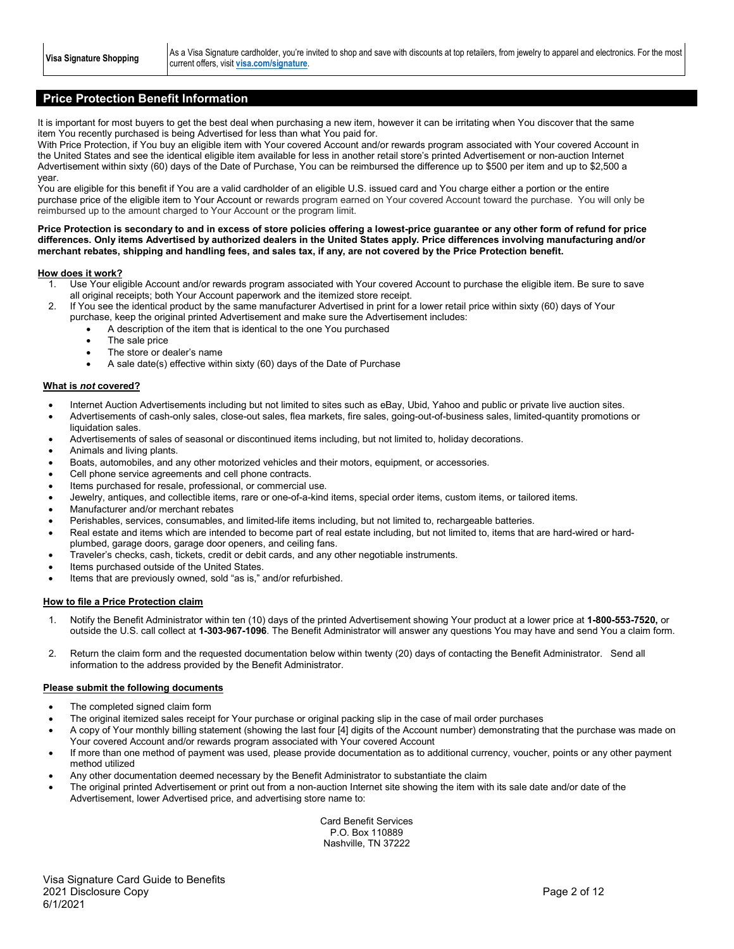Visa Signature Shopping **As a Visa Signature cardholder, you're invited to shop and save with discounts at top retailers, from jewelry to apparel and electronics. For the most** current offers, visit **[visa.com/signature](https://visa.com/signature)**.

# **Price Protection Benefit Information**

It is important for most buyers to get the best deal when purchasing a new item, however it can be irritating when You discover that the same item You recently purchased is being Advertised for less than what You paid for.

With Price Protection, if You buy an eligible item with Your covered Account and/or rewards program associated with Your covered Account in the United States and see the identical eligible item available for less in another retail store's printed Advertisement or non-auction Internet Advertisement within sixty (60) days of the Date of Purchase, You can be reimbursed the difference up to \$500 per item and up to \$2,500 a year.

You are eligible for this benefit if You are a valid cardholder of an eligible U.S. issued card and You charge either a portion or the entire purchase price of the eligible item to Your Account or rewards program earned on Your covered Account toward the purchase. You will only be reimbursed up to the amount charged to Your Account or the program limit.

#### **Price Protection is secondary to and in excess of store policies offering a lowest-price guarantee or any other form of refund for price differences. Only items Advertised by authorized dealers in the United States apply. Price differences involving manufacturing and/or merchant rebates, shipping and handling fees, and sales tax, if any, are not covered by the Price Protection benefit.**

#### **How does it work?**

- 1. Use Your eligible Account and/or rewards program associated with Your covered Account to purchase the eligible item. Be sure to save all original receipts; both Your Account paperwork and the itemized store receipt.
- 2. If You see the identical product by the same manufacturer Advertised in print for a lower retail price within sixty (60) days of Your purchase, keep the original printed Advertisement and make sure the Advertisement includes:
	- A description of the item that is identical to the one You purchased
	- The sale price
	- The store or dealer's name
	- A sale date(s) effective within sixty (60) days of the Date of Purchase

#### **What is** *not* **covered?**

- Internet Auction Advertisements including but not limited to sites such as eBay, Ubid, Yahoo and public or private live auction sites.
- Advertisements of cash-only sales, close-out sales, flea markets, fire sales, going-out-of-business sales, limited-quantity promotions or liquidation sales.
- Advertisements of sales of seasonal or discontinued items including, but not limited to, holiday decorations.
- Animals and living plants.
- Boats, automobiles, and any other motorized vehicles and their motors, equipment, or accessories.
- Cell phone service agreements and cell phone contracts.
- Items purchased for resale, professional, or commercial use.
- Jewelry, antiques, and collectible items, rare or one-of-a-kind items, special order items, custom items, or tailored items.
- Manufacturer and/or merchant rebates
- Perishables, services, consumables, and limited-life items including, but not limited to, rechargeable batteries.
- Real estate and items which are intended to become part of real estate including, but not limited to, items that are hard-wired or hardplumbed, garage doors, garage door openers, and ceiling fans.
- Traveler's checks, cash, tickets, credit or debit cards, and any other negotiable instruments.
- Items purchased outside of the United States.
- Items that are previously owned, sold "as is," and/or refurbished.

#### **How to file a Price Protection claim**

- 1. Notify the Benefit Administrator within ten (10) days of the printed Advertisement showing Your product at a lower price at **1-800-553-7520,** or outside the U.S. call collect at **1-303-967-1096**. The Benefit Administrator will answer any questions You may have and send You a claim form.
- 2. Return the claim form and the requested documentation below within twenty (20) days of contacting the Benefit Administrator. Send all information to the address provided by the Benefit Administrator.

#### **Please submit the following documents**

- The completed signed claim form
- The original itemized sales receipt for Your purchase or original packing slip in the case of mail order purchases
- A copy of Your monthly billing statement (showing the last four [4] digits of the Account number) demonstrating that the purchase was made on Your covered Account and/or rewards program associated with Your covered Account
- If more than one method of payment was used, please provide documentation as to additional currency, voucher, points or any other payment method utilized
- Any other documentation deemed necessary by the Benefit Administrator to substantiate the claim
- The original printed Advertisement or print out from a non-auction Internet site showing the item with its sale date and/or date of the Advertisement, lower Advertised price, and advertising store name to:

Card Benefit Services P.O. Box 110889 Nashville, TN 37222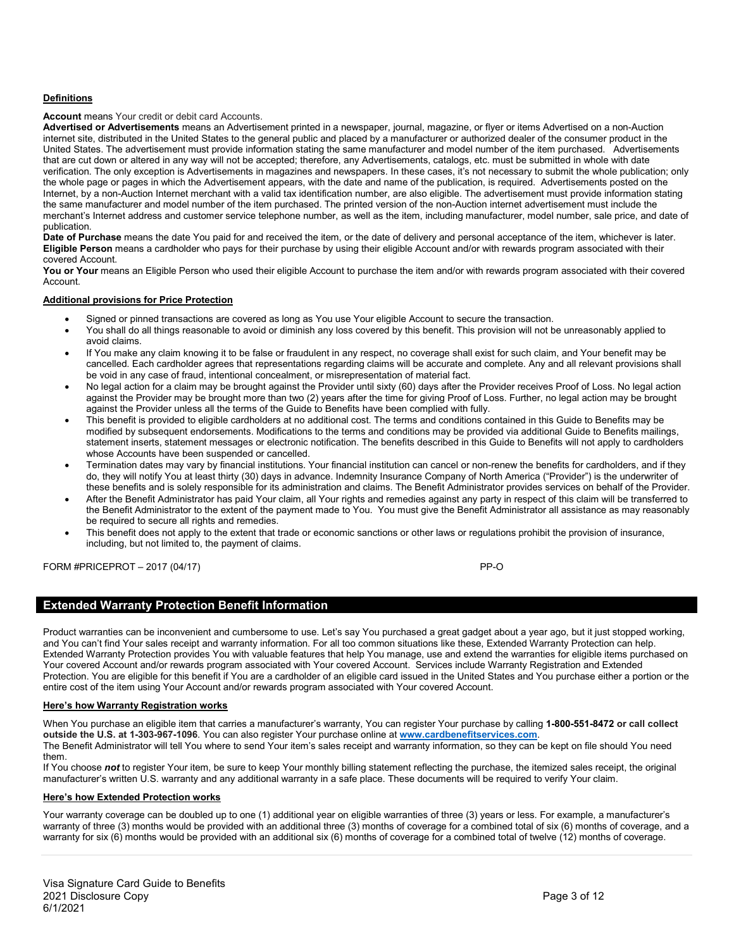#### **Definitions**

#### **Account** means Your credit or debit card Accounts.

**Advertised or Advertisements** means an Advertisement printed in a newspaper, journal, magazine, or flyer or items Advertised on a non-Auction internet site, distributed in the United States to the general public and placed by a manufacturer or authorized dealer of the consumer product in the United States. The advertisement must provide information stating the same manufacturer and model number of the item purchased. Advertisements that are cut down or altered in any way will not be accepted; therefore, any Advertisements, catalogs, etc. must be submitted in whole with date verification. The only exception is Advertisements in magazines and newspapers. In these cases, it's not necessary to submit the whole publication; only the whole page or pages in which the Advertisement appears, with the date and name of the publication, is required. Advertisements posted on the Internet, by a non-Auction Internet merchant with a valid tax identification number, are also eligible. The advertisement must provide information stating the same manufacturer and model number of the item purchased. The printed version of the non-Auction internet advertisement must include the merchant's Internet address and customer service telephone number, as well as the item, including manufacturer, model number, sale price, and date of publication.

**Date of Purchase** means the date You paid for and received the item, or the date of delivery and personal acceptance of the item, whichever is later. **Eligible Person** means a cardholder who pays for their purchase by using their eligible Account and/or with rewards program associated with their covered Account.

You or Your means an Eligible Person who used their eligible Account to purchase the item and/or with rewards program associated with their covered Account.

#### **Additional provisions for Price Protection**

- Signed or pinned transactions are covered as long as You use Your eligible Account to secure the transaction.
- You shall do all things reasonable to avoid or diminish any loss covered by this benefit. This provision will not be unreasonably applied to avoid claims.
- If You make any claim knowing it to be false or fraudulent in any respect, no coverage shall exist for such claim, and Your benefit may be cancelled. Each cardholder agrees that representations regarding claims will be accurate and complete. Any and all relevant provisions shall be void in any case of fraud, intentional concealment, or misrepresentation of material fact.
- No legal action for a claim may be brought against the Provider until sixty (60) days after the Provider receives Proof of Loss. No legal action against the Provider may be brought more than two (2) years after the time for giving Proof of Loss. Further, no legal action may be brought against the Provider unless all the terms of the Guide to Benefits have been complied with fully.
- This benefit is provided to eligible cardholders at no additional cost. The terms and conditions contained in this Guide to Benefits may be modified by subsequent endorsements. Modifications to the terms and conditions may be provided via additional Guide to Benefits mailings, statement inserts, statement messages or electronic notification. The benefits described in this Guide to Benefits will not apply to cardholders whose Accounts have been suspended or cancelled.
- Termination dates may vary by financial institutions. Your financial institution can cancel or non-renew the benefits for cardholders, and if they do, they will notify You at least thirty (30) days in advance. Indemnity Insurance Company of North America ("Provider") is the underwriter of these benefits and is solely responsible for its administration and claims. The Benefit Administrator provides services on behalf of the Provider.
- After the Benefit Administrator has paid Your claim, all Your rights and remedies against any party in respect of this claim will be transferred to the Benefit Administrator to the extent of the payment made to You. You must give the Benefit Administrator all assistance as may reasonably be required to secure all rights and remedies.
- This benefit does not apply to the extent that trade or economic sanctions or other laws or regulations prohibit the provision of insurance, including, but not limited to, the payment of claims.

FORM #PRICEPROT – 2017 (04/17) PP-O

# **Extended Warranty Protection Benefit Information**

Product warranties can be inconvenient and cumbersome to use. Let's say You purchased a great gadget about a year ago, but it just stopped working, and You can't find Your sales receipt and warranty information. For all too common situations like these, Extended Warranty Protection can help. Extended Warranty Protection provides You with valuable features that help You manage, use and extend the warranties for eligible items purchased on Your covered Account and/or rewards program associated with Your covered Account. Services include Warranty Registration and Extended Protection. You are eligible for this benefit if You are a cardholder of an eligible card issued in the United States and You purchase either a portion or the entire cost of the item using Your Account and/or rewards program associated with Your covered Account.

#### **Here's how Warranty Registration works**

When You purchase an eligible item that carries a manufacturer's warranty, You can register Your purchase by calling **1-800-551-8472 or call collect outside the U.S. at 1-303-967-1096**. You can also register Your purchase online at **[www.cardbenefitservices.com](http://www.cardbenefitservices.com/)**.

The Benefit Administrator will tell You where to send Your item's sales receipt and warranty information, so they can be kept on file should You need them.

If You choose not to register Your item, be sure to keep Your monthly billing statement reflecting the purchase, the itemized sales receipt, the original manufacturer's written U.S. warranty and any additional warranty in a safe place. These documents will be required to verify Your claim.

#### **Here's how Extended Protection works**

Your warranty coverage can be doubled up to one (1) additional year on eligible warranties of three (3) years or less. For example, a manufacturer's warranty of three (3) months would be provided with an additional three (3) months of coverage for a combined total of six (6) months of coverage, and a warranty for six (6) months would be provided with an additional six (6) months of coverage for a combined total of twelve (12) months of coverage.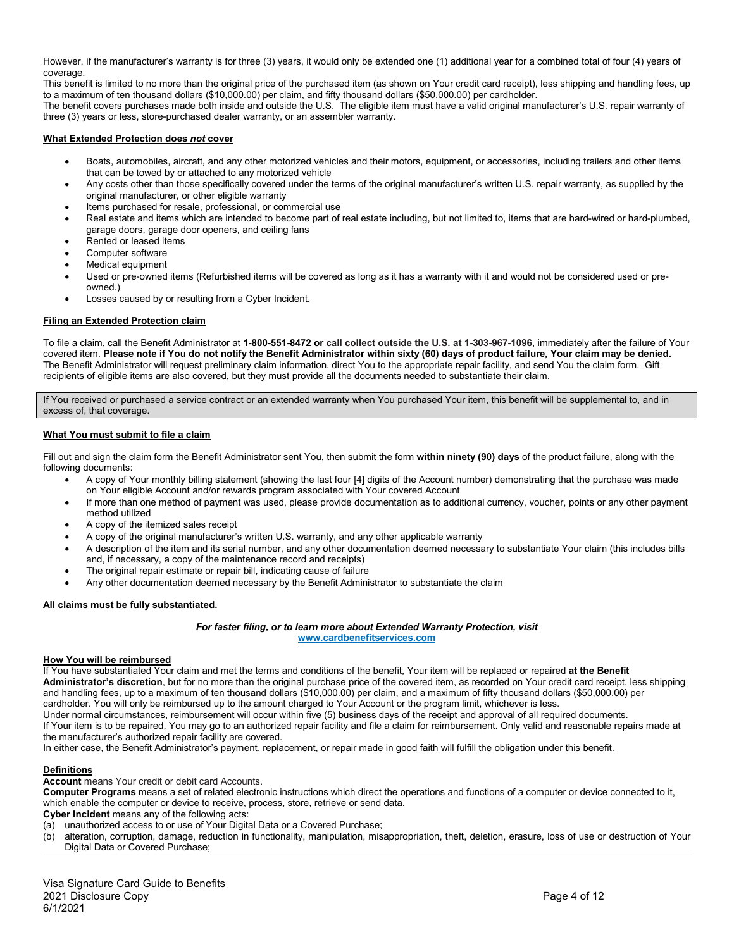However, if the manufacturer's warranty is for three (3) years, it would only be extended one (1) additional year for a combined total of four (4) years of coverage.

This benefit is limited to no more than the original price of the purchased item (as shown on Your credit card receipt), less shipping and handling fees, up to a maximum of ten thousand dollars (\$10,000.00) per claim, and fifty thousand dollars (\$50,000.00) per cardholder.

The benefit covers purchases made both inside and outside the U.S. The eligible item must have a valid original manufacturer's U.S. repair warranty of three (3) years or less, store-purchased dealer warranty, or an assembler warranty.

#### **What Extended Protection does** *not* **cover**

- Boats, automobiles, aircraft, and any other motorized vehicles and their motors, equipment, or accessories, including trailers and other items that can be towed by or attached to any motorized vehicle
- Any costs other than those specifically covered under the terms of the original manufacturer's written U.S. repair warranty, as supplied by the original manufacturer, or other eligible warranty
- Items purchased for resale, professional, or commercial use
- Real estate and items which are intended to become part of real estate including, but not limited to, items that are hard-wired or hard-plumbed, garage doors, garage door openers, and ceiling fans
- Rented or leased items
- Computer software
- Medical equipment
- Used or pre-owned items (Refurbished items will be covered as long as it has a warranty with it and would not be considered used or preowned.)
- Losses caused by or resulting from a Cyber Incident.

#### **Filing an Extended Protection claim**

To file a claim, call the Benefit Administrator at **1-800-551-8472 or call collect outside the U.S. at 1-303-967-1096**, immediately after the failure of Your covered item. **Please note if You do not notify the Benefit Administrator within sixty (60) days of product failure, Your claim may be denied.**  The Benefit Administrator will request preliminary claim information, direct You to the appropriate repair facility, and send You the claim form. Gift recipients of eligible items are also covered, but they must provide all the documents needed to substantiate their claim.

If You received or purchased a service contract or an extended warranty when You purchased Your item, this benefit will be supplemental to, and in excess of, that coverage.

#### **What You must submit to file a claim**

Fill out and sign the claim form the Benefit Administrator sent You, then submit the form **within ninety (90) days** of the product failure, along with the following documents:

- A copy of Your monthly billing statement (showing the last four [4] digits of the Account number) demonstrating that the purchase was made on Your eligible Account and/or rewards program associated with Your covered Account
- If more than one method of payment was used, please provide documentation as to additional currency, voucher, points or any other payment method utilized
- A copy of the itemized sales receipt
- A copy of the original manufacturer's written U.S. warranty, and any other applicable warranty
- A description of the item and its serial number, and any other documentation deemed necessary to substantiate Your claim (this includes bills and, if necessary, a copy of the maintenance record and receipts)
- The original repair estimate or repair bill, indicating cause of failure
- Any other documentation deemed necessary by the Benefit Administrator to substantiate the claim

#### **All claims must be fully substantiated.**

#### *For faster filing, or to learn more about Extended Warranty Protection, visit* **[www.cardbenefitservices.com](http://www.cardbenefitservices.com/)**

#### **How You will be reimbursed**

If You have substantiated Your claim and met the terms and conditions of the benefit, Your item will be replaced or repaired **at the Benefit Administrator's discretion**, but for no more than the original purchase price of the covered item, as recorded on Your credit card receipt, less shipping and handling fees, up to a maximum of ten thousand dollars (\$10,000.00) per claim, and a maximum of fifty thousand dollars (\$50,000.00) per cardholder. You will only be reimbursed up to the amount charged to Your Account or the program limit, whichever is less.

Under normal circumstances, reimbursement will occur within five (5) business days of the receipt and approval of all required documents.

If Your item is to be repaired, You may go to an authorized repair facility and file a claim for reimbursement. Only valid and reasonable repairs made at the manufacturer's authorized repair facility are covered.

In either case, the Benefit Administrator's payment, replacement, or repair made in good faith will fulfill the obligation under this benefit.

#### **Definitions**

**Account** means Your credit or debit card Accounts.

**Computer Programs** means a set of related electronic instructions which direct the operations and functions of a computer or device connected to it, which enable the computer or device to receive, process, store, retrieve or send data.

**Cyber Incident** means any of the following acts:

(a) unauthorized access to or use of Your Digital Data or a Covered Purchase;

(b) alteration, corruption, damage, reduction in functionality, manipulation, misappropriation, theft, deletion, erasure, loss of use or destruction of Your Digital Data or Covered Purchase;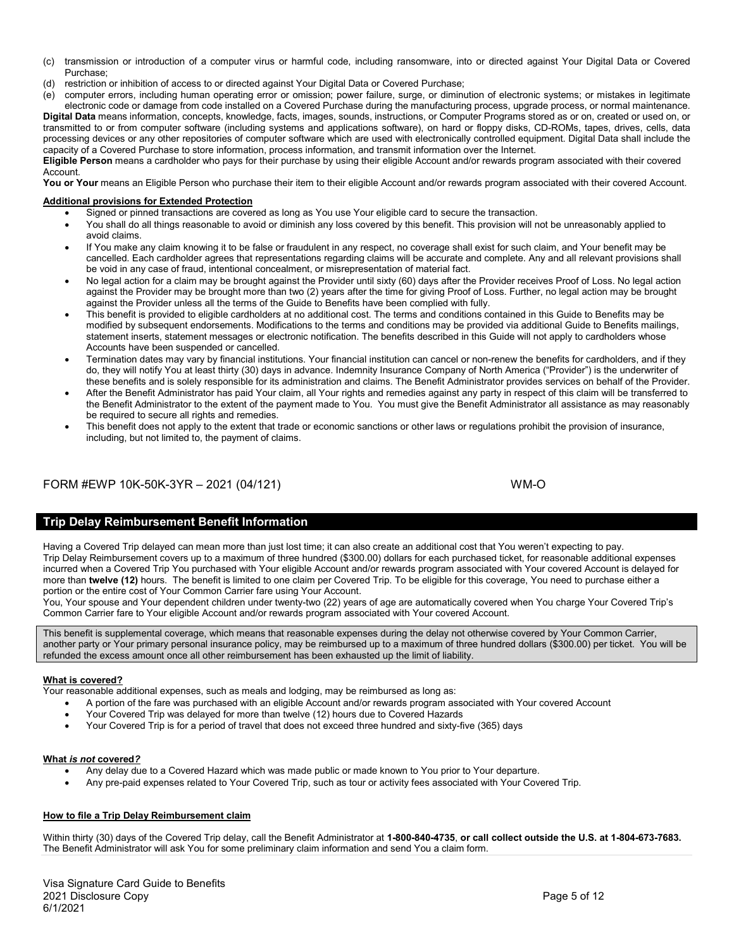- (c) transmission or introduction of a computer virus or harmful code, including ransomware, into or directed against Your Digital Data or Covered Purchase;
- (d) restriction or inhibition of access to or directed against Your Digital Data or Covered Purchase;<br>(e) computer errors, including human operating error or omission: power failure, surge, or diminu
- (e) computer errors, including human operating error or omission; power failure, surge, or diminution of electronic systems; or mistakes in legitimate electronic code or damage from code installed on a Covered Purchase during the manufacturing process, upgrade process, or normal maintenance. **Digital Data** means information, concepts, knowledge, facts, images, sounds, instructions, or Computer Programs stored as or on, created or used on, or transmitted to or from computer software (including systems and applications software), on hard or floppy disks, CD-ROMs, tapes, drives, cells, data processing devices or any other repositories of computer software which are used with electronically controlled equipment. Digital Data shall include the capacity of a Covered Purchase to store information, process information, and transmit information over the Internet.

**Eligible Person** means a cardholder who pays for their purchase by using their eligible Account and/or rewards program associated with their covered Account.

You or Your means an Eligible Person who purchase their item to their eligible Account and/or rewards program associated with their covered Account.

#### **Additional provisions for Extended Protection**

- Signed or pinned transactions are covered as long as You use Your eligible card to secure the transaction.
- You shall do all things reasonable to avoid or diminish any loss covered by this benefit. This provision will not be unreasonably applied to avoid claims.
- If You make any claim knowing it to be false or fraudulent in any respect, no coverage shall exist for such claim, and Your benefit may be cancelled. Each cardholder agrees that representations regarding claims will be accurate and complete. Any and all relevant provisions shall be void in any case of fraud, intentional concealment, or misrepresentation of material fact.
- No legal action for a claim may be brought against the Provider until sixty (60) days after the Provider receives Proof of Loss. No legal action against the Provider may be brought more than two (2) years after the time for giving Proof of Loss. Further, no legal action may be brought against the Provider unless all the terms of the Guide to Benefits have been complied with fully.
- This benefit is provided to eligible cardholders at no additional cost. The terms and conditions contained in this Guide to Benefits may be modified by subsequent endorsements. Modifications to the terms and conditions may be provided via additional Guide to Benefits mailings, statement inserts, statement messages or electronic notification. The benefits described in this Guide will not apply to cardholders whose Accounts have been suspended or cancelled.
- Termination dates may vary by financial institutions. Your financial institution can cancel or non-renew the benefits for cardholders, and if they do, they will notify You at least thirty (30) days in advance. Indemnity Insurance Company of North America ("Provider") is the underwriter of these benefits and is solely responsible for its administration and claims. The Benefit Administrator provides services on behalf of the Provider.
- After the Benefit Administrator has paid Your claim, all Your rights and remedies against any party in respect of this claim will be transferred to the Benefit Administrator to the extent of the payment made to You. You must give the Benefit Administrator all assistance as may reasonably be required to secure all rights and remedies.
- This benefit does not apply to the extent that trade or economic sanctions or other laws or regulations prohibit the provision of insurance, including, but not limited to, the payment of claims.

# FORM #EWP 10K-50K-3YR – 2021 (04/121) WM-O

# **Trip Delay Reimbursement Benefit Information**

Having a Covered Trip delayed can mean more than just lost time; it can also create an additional cost that You weren't expecting to pay. Trip Delay Reimbursement covers up to a maximum of three hundred (\$300.00) dollars for each purchased ticket, for reasonable additional expenses incurred when a Covered Trip You purchased with Your eligible Account and/or rewards program associated with Your covered Account is delayed for more than **twelve (12)** hours. The benefit is limited to one claim per Covered Trip. To be eligible for this coverage, You need to purchase either a portion or the entire cost of Your Common Carrier fare using Your Account.

.<br>You, Your spouse and Your dependent children under twenty-two (22) years of age are automatically covered when You charge Your Covered Trip's Common Carrier fare to Your eligible Account and/or rewards program associated with Your covered Account.

This benefit is supplemental coverage, which means that reasonable expenses during the delay not otherwise covered by Your Common Carrier, another party or Your primary personal insurance policy, may be reimbursed up to a maximum of three hundred dollars (\$300.00) per ticket. You will be refunded the excess amount once all other reimbursement has been exhausted up the limit of liability.

#### **What is covered?**

Your reasonable additional expenses, such as meals and lodging, may be reimbursed as long as:

- A portion of the fare was purchased with an eligible Account and/or rewards program associated with Your covered Account
- Your Covered Trip was delayed for more than twelve (12) hours due to Covered Hazards
- Your Covered Trip is for a period of travel that does not exceed three hundred and sixty-five (365) days

#### **What** *is not* **covered***?*

- Any delay due to a Covered Hazard which was made public or made known to You prior to Your departure.
- Any pre-paid expenses related to Your Covered Trip, such as tour or activity fees associated with Your Covered Trip.

#### **How to file a Trip Delay Reimbursement claim**

Within thirty (30) days of the Covered Trip delay, call the Benefit Administrator at **1-800-840-4735**, **or call collect outside the U.S. at 1-804-673-7683.**  The Benefit Administrator will ask You for some preliminary claim information and send You a claim form.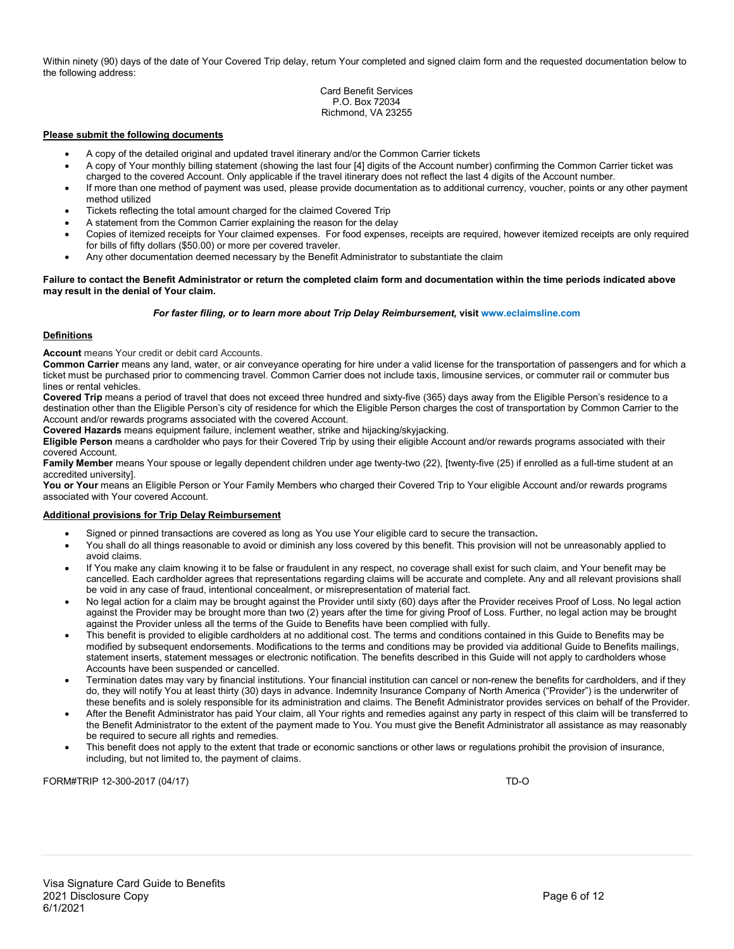Within ninety (90) days of the date of Your Covered Trip delay, return Your completed and signed claim form and the requested documentation below to the following address:

#### Card Benefit Services P.O. Box 72034 Richmond, VA 23255

#### **Please submit the following documents**

- A copy of the detailed original and updated travel itinerary and/or the Common Carrier tickets
- A copy of Your monthly billing statement (showing the last four [4] digits of the Account number) confirming the Common Carrier ticket was charged to the covered Account. Only applicable if the travel itinerary does not reflect the last 4 digits of the Account number.
- If more than one method of payment was used, please provide documentation as to additional currency, voucher, points or any other payment method utilized
- Tickets reflecting the total amount charged for the claimed Covered Trip
- A statement from the Common Carrier explaining the reason for the delay
- Copies of itemized receipts for Your claimed expenses. For food expenses, receipts are required, however itemized receipts are only required for bills of fifty dollars (\$50.00) or more per covered traveler.
- Any other documentation deemed necessary by the Benefit Administrator to substantiate the claim

#### **Failure to contact the Benefit Administrator or return the completed claim form and documentation within the time periods indicated above may result in the denial of Your claim.**

#### *For faster filing, or to learn more about Trip Delay Reimbursement,* **visit www.eclaimsline.com**

#### **Definitions**

**Account** means Your credit or debit card Accounts.

**Common Carrier** means any land, water, or air conveyance operating for hire under a valid license for the transportation of passengers and for which a ticket must be purchased prior to commencing travel. Common Carrier does not include taxis, limousine services, or commuter rail or commuter bus lines or rental vehicles.

**Covered Trip** means a period of travel that does not exceed three hundred and sixty-five (365) days away from the Eligible Person's residence to a destination other than the Eligible Person's city of residence for which the Eligible Person charges the cost of transportation by Common Carrier to the Account and/or rewards programs associated with the covered Account.

**Covered Hazards** means equipment failure, inclement weather, strike and hijacking/skyjacking.

**Eligible Person** means a cardholder who pays for their Covered Trip by using their eligible Account and/or rewards programs associated with their covered Account.

**Family Member** means Your spouse or legally dependent children under age twenty-two (22), [twenty-five (25) if enrolled as a full-time student at an accredited university].

**You or Your** means an Eligible Person or Your Family Members who charged their Covered Trip to Your eligible Account and/or rewards programs associated with Your covered Account.

#### **Additional provisions for Trip Delay Reimbursement**

- Signed or pinned transactions are covered as long as You use Your eligible card to secure the transaction**.**
- You shall do all things reasonable to avoid or diminish any loss covered by this benefit. This provision will not be unreasonably applied to avoid claims.
- If You make any claim knowing it to be false or fraudulent in any respect, no coverage shall exist for such claim, and Your benefit may be cancelled. Each cardholder agrees that representations regarding claims will be accurate and complete. Any and all relevant provisions shall be void in any case of fraud, intentional concealment, or misrepresentation of material fact.
- No legal action for a claim may be brought against the Provider until sixty (60) days after the Provider receives Proof of Loss. No legal action against the Provider may be brought more than two (2) years after the time for giving Proof of Loss. Further, no legal action may be brought against the Provider unless all the terms of the Guide to Benefits have been complied with fully.
- This benefit is provided to eligible cardholders at no additional cost. The terms and conditions contained in this Guide to Benefits may be modified by subsequent endorsements. Modifications to the terms and conditions may be provided via additional Guide to Benefits mailings, statement inserts, statement messages or electronic notification. The benefits described in this Guide will not apply to cardholders whose Accounts have been suspended or cancelled.
- Termination dates may vary by financial institutions. Your financial institution can cancel or non-renew the benefits for cardholders, and if they do, they will notify You at least thirty (30) days in advance. Indemnity Insurance Company of North America ("Provider") is the underwriter of these benefits and is solely responsible for its administration and claims. The Benefit Administrator provides services on behalf of the Provider.
- After the Benefit Administrator has paid Your claim, all Your rights and remedies against any party in respect of this claim will be transferred to the Benefit Administrator to the extent of the payment made to You. You must give the Benefit Administrator all assistance as may reasonably be required to secure all rights and remedies.
- This benefit does not apply to the extent that trade or economic sanctions or other laws or regulations prohibit the provision of insurance, including, but not limited to, the payment of claims.

FORM#TRIP 12-300-2017 (04/17) TD-O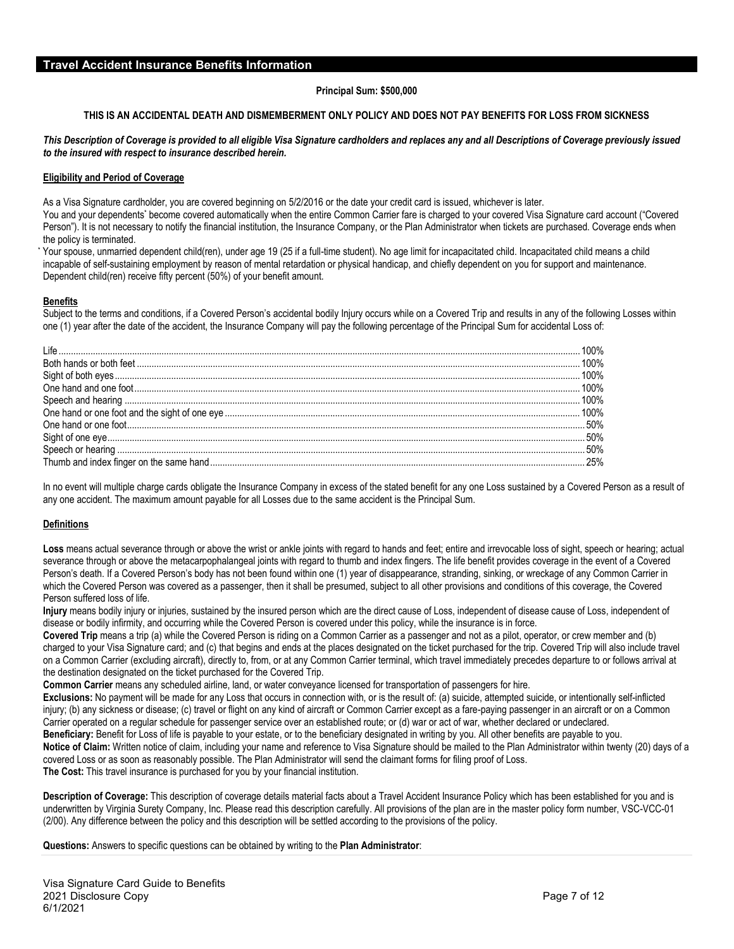#### **Principal Sum: \$500,000**

#### **THIS IS AN ACCIDENTAL DEATH AND DISMEMBERMENT ONLY POLICY AND DOES NOT PAY BENEFITS FOR LOSS FROM SICKNESS**

#### *This Description of Coverage is provided to all eligible Visa Signature cardholders and replaces any and all Descriptions of Coverage previously issued to the insured with respect to insurance described herein.*

#### **Eligibility and Period of Coverage**

As a Visa Signature cardholder, you are covered beginning on 5/2/2016 or the date your credit card is issued, whichever is later.

You and your dependents\* become covered automatically when the entire Common Carrier fare is charged to your covered Visa Signature card account ("Covered Person"). It is not necessary to notify the financial institution, the Insurance Company, or the Plan Administrator when tickets are purchased. Coverage ends when the policy is terminated.

Your spouse, unmarried dependent child(ren), under age 19 (25 if a full-time student). No age limit for incapacitated child. Incapacitated child means a child incapable of self-sustaining employment by reason of mental retardation or physical handicap, and chiefly dependent on you for support and maintenance. Dependent child(ren) receive fifty percent (50%) of your benefit amount.

#### **Benefits**

Subject to the terms and conditions, if a Covered Person's accidental bodily Injury occurs while on a Covered Trip and results in any of the following Losses within one (1) year after the date of the accident, the Insurance Company will pay the following percentage of the Principal Sum for accidental Loss of:

In no event will multiple charge cards obligate the Insurance Company in excess of the stated benefit for any one Loss sustained by a Covered Person as a result of any one accident. The maximum amount payable for all Losses due to the same accident is the Principal Sum.

#### **Definitions**

Loss means actual severance through or above the wrist or ankle joints with regard to hands and feet; entire and irrevocable loss of sight, speech or hearing; actual severance through or above the metacarpophalangeal joints with regard to thumb and index fingers. The life benefit provides coverage in the event of a Covered Person's death. If a Covered Person's body has not been found within one (1) year of disappearance, stranding, sinking, or wreckage of any Common Carrier in which the Covered Person was covered as a passenger, then it shall be presumed, subject to all other provisions and conditions of this coverage, the Covered Person suffered loss of life.

**Injury** means bodily injury or injuries, sustained by the insured person which are the direct cause of Loss, independent of disease cause of Loss, independent of disease or bodily infirmity, and occurring while the Covered Person is covered under this policy, while the insurance is in force.

**Covered Trip** means a trip (a) while the Covered Person is riding on a Common Carrier as a passenger and not as a pilot, operator, or crew member and (b) charged to your Visa Signature card; and (c) that begins and ends at the places designated on the ticket purchased for the trip. Covered Trip will also include travel on a Common Carrier (excluding aircraft), directly to, from, or at any Common Carrier terminal, which travel immediately precedes departure to or follows arrival at the destination designated on the ticket purchased for the Covered Trip.

**Common Carrier** means any scheduled airline, land, or water conveyance licensed for transportation of passengers for hire.

**Exclusions:** No payment will be made for any Loss that occurs in connection with, or is the result of: (a) suicide, attempted suicide, or intentionally self-inflicted injury; (b) any sickness or disease; (c) travel or flight on any kind of aircraft or Common Carrier except as a fare-paying passenger in an aircraft or on a Common Carrier operated on a regular schedule for passenger service over an established route; or (d) war or act of war, whether declared or undeclared. **Beneficiary:** Benefit for Loss of life is payable to your estate, or to the beneficiary designated in writing by you. All other benefits are payable to you. **Notice of Claim:** Written notice of claim, including your name and reference to Visa Signature should be mailed to the Plan Administrator within twenty (20) days of a

covered Loss or as soon as reasonably possible. The Plan Administrator will send the claimant forms for filing proof of Loss. **The Cost:** This travel insurance is purchased for you by your financial institution.

**Description of Coverage:** This description of coverage details material facts about a Travel Accident Insurance Policy which has been established for you and is underwritten by Virginia Surety Company, Inc. Please read this description carefully. All provisions of the plan are in the master policy form number, VSC-VCC-01 (2/00). Any difference between the policy and this description will be settled according to the provisions of the policy.

**Questions:** Answers to specific questions can be obtained by writing to the **Plan Administrator**: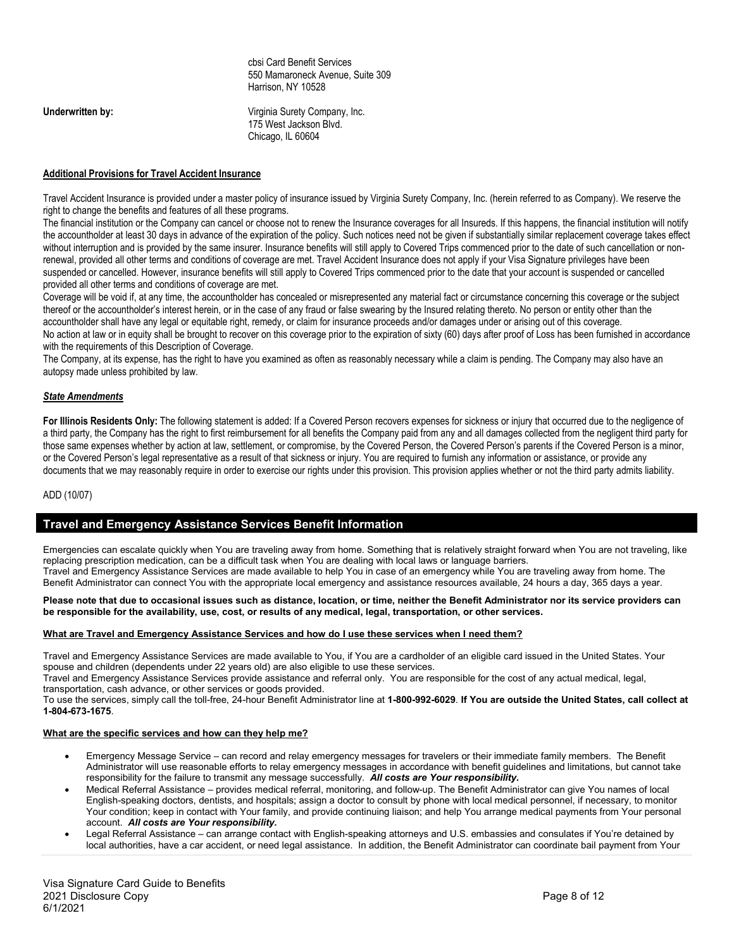cbsi Card Benefit Services 550 Mamaroneck Avenue, Suite 309 Harrison, NY 10528

**Underwritten by:** Virginia Surety Company, Inc. 175 West Jackson Blvd. Chicago, IL 60604

#### **Additional Provisions for Travel Accident Insurance**

Travel Accident Insurance is provided under a master policy of insurance issued by Virginia Surety Company, Inc. (herein referred to as Company). We reserve the right to change the benefits and features of all these programs.

The financial institution or the Company can cancel or choose not to renew the Insurance coverages for all Insureds. If this happens, the financial institution will notify the accountholder at least 30 days in advance of the expiration of the policy. Such notices need not be given if substantially similar replacement coverage takes effect without interruption and is provided by the same insurer. Insurance benefits will still apply to Covered Trips commenced prior to the date of such cancellation or nonrenewal, provided all other terms and conditions of coverage are met. Travel Accident Insurance does not apply if your Visa Signature privileges have been suspended or cancelled. However, insurance benefits will still apply to Covered Trips commenced prior to the date that your account is suspended or cancelled provided all other terms and conditions of coverage are met.

Coverage will be void if, at any time, the accountholder has concealed or misrepresented any material fact or circumstance concerning this coverage or the subject thereof or the accountholder's interest herein, or in the case of any fraud or false swearing by the Insured relating thereto. No person or entity other than the accountholder shall have any legal or equitable right, remedy, or claim for insurance proceeds and/or damages under or arising out of this coverage. No action at law or in equity shall be brought to recover on this coverage prior to the expiration of sixty (60) days after proof of Loss has been furnished in accordance with the requirements of this Description of Coverage.

The Company, at its expense, has the right to have you examined as often as reasonably necessary while a claim is pending. The Company may also have an autopsy made unless prohibited by law.

#### *State Amendments*

For Illinois Residents Only: The following statement is added: If a Covered Person recovers expenses for sickness or injury that occurred due to the negligence of a third party, the Company has the right to first reimbursement for all benefits the Company paid from any and all damages collected from the negligent third party for those same expenses whether by action at law, settlement, or compromise, by the Covered Person, the Covered Person's parents if the Covered Person is a minor, or the Covered Person's legal representative as a result of that sickness or injury. You are required to furnish any information or assistance, or provide any documents that we may reasonably require in order to exercise our rights under this provision. This provision applies whether or not the third party admits liability.

#### ADD (10/07)

#### **Travel and Emergency Assistance Services Benefit Information**

Emergencies can escalate quickly when You are traveling away from home. Something that is relatively straight forward when You are not traveling, like replacing prescription medication, can be a difficult task when You are dealing with local laws or language barriers. Travel and Emergency Assistance Services are made available to help You in case of an emergency while You are traveling away from home. The Benefit Administrator can connect You with the appropriate local emergency and assistance resources available, 24 hours a day, 365 days a year.

#### **Please note that due to occasional issues such as distance, location, or time, neither the Benefit Administrator nor its service providers can be responsible for the availability, use, cost, or results of any medical, legal, transportation, or other services.**

#### **What are Travel and Emergency Assistance Services and how do I use these services when I need them?**

Travel and Emergency Assistance Services are made available to You, if You are a cardholder of an eligible card issued in the United States. Your spouse and children (dependents under 22 years old) are also eligible to use these services.

Travel and Emergency Assistance Services provide assistance and referral only. You are responsible for the cost of any actual medical, legal, transportation, cash advance, or other services or goods provided.

To use the services, simply call the toll-free, 24-hour Benefit Administrator line at **1-800-992-6029**. **If You are outside the United States, call collect at 1-804-673-1675**.

#### **What are the specific services and how can they help me?**

- Emergency Message Service can record and relay emergency messages for travelers or their immediate family members. The Benefit Administrator will use reasonable efforts to relay emergency messages in accordance with benefit guidelines and limitations, but cannot take responsibility for the failure to transmit any message successfully. *All costs are Your responsibility.*
- Medical Referral Assistance provides medical referral, monitoring, and follow-up. The Benefit Administrator can give You names of local English-speaking doctors, dentists, and hospitals; assign a doctor to consult by phone with local medical personnel, if necessary, to monitor Your condition; keep in contact with Your family, and provide continuing liaison; and help You arrange medical payments from Your personal account. *All costs are Your responsibility.*
- Legal Referral Assistance can arrange contact with English-speaking attorneys and U.S. embassies and consulates if You're detained by local authorities, have a car accident, or need legal assistance. In addition, the Benefit Administrator can coordinate bail payment from Your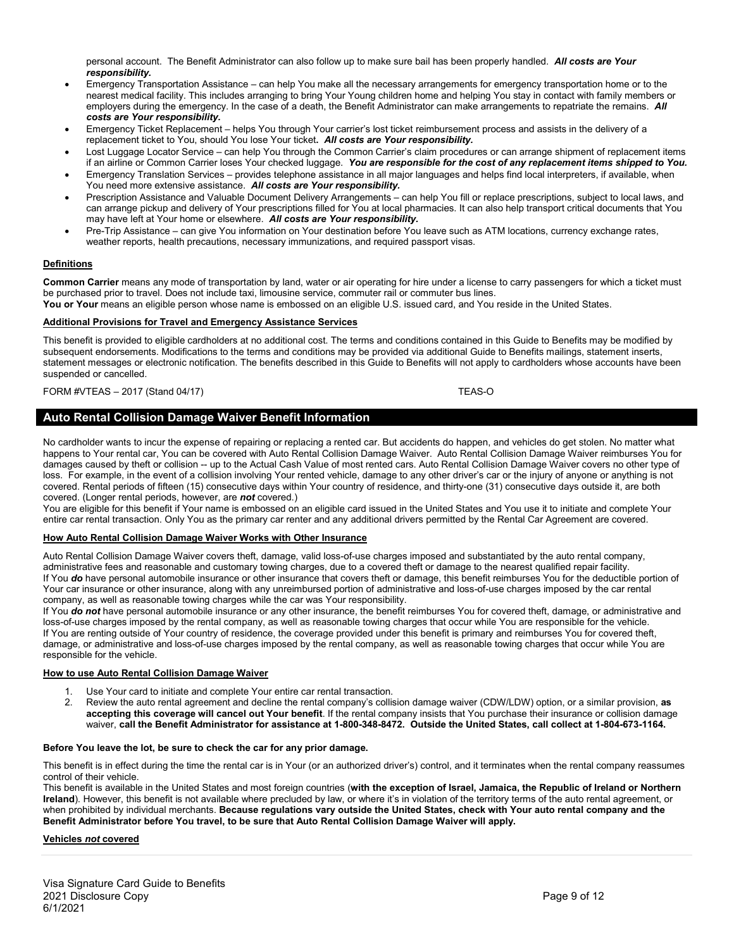personal account. The Benefit Administrator can also follow up to make sure bail has been properly handled. *All costs are Your responsibility.*

- Emergency Transportation Assistance can help You make all the necessary arrangements for emergency transportation home or to the nearest medical facility. This includes arranging to bring Your Young children home and helping You stay in contact with family members or employers during the emergency. In the case of a death, the Benefit Administrator can make arrangements to repatriate the remains. *All costs are Your responsibility.*
- Emergency Ticket Replacement helps You through Your carrier's lost ticket reimbursement process and assists in the delivery of a replacement ticket to You, should You lose Your ticket**.** *All costs are Your responsibility.*
- Lost Luggage Locator Service can help You through the Common Carrier's claim procedures or can arrange shipment of replacement items if an airline or Common Carrier loses Your checked luggage. *You are responsible for the cost of any replacement items shipped to You.*
- Emergency Translation Services provides telephone assistance in all major languages and helps find local interpreters, if available, when You need more extensive assistance. *All costs are Your responsibility.*
- Prescription Assistance and Valuable Document Delivery Arrangements can help You fill or replace prescriptions, subject to local laws, and can arrange pickup and delivery of Your prescriptions filled for You at local pharmacies. It can also help transport critical documents that You may have left at Your home or elsewhere. *All costs are Your responsibility.*
- Pre-Trip Assistance can give You information on Your destination before You leave such as ATM locations, currency exchange rates, weather reports, health precautions, necessary immunizations, and required passport visas.

#### **Definitions**

**Common Carrier** means any mode of transportation by land, water or air operating for hire under a license to carry passengers for which a ticket must be purchased prior to travel. Does not include taxi, limousine service, commuter rail or commuter bus lines.

You or Your means an eligible person whose name is embossed on an eligible U.S. issued card, and You reside in the United States.

#### **Additional Provisions for Travel and Emergency Assistance Services**

This benefit is provided to eligible cardholders at no additional cost. The terms and conditions contained in this Guide to Benefits may be modified by subsequent endorsements. Modifications to the terms and conditions may be provided via additional Guide to Benefits mailings, statement inserts, statement messages or electronic notification. The benefits described in this Guide to Benefits will not apply to cardholders whose accounts have been suspended or cancelled.

#### FORM #VTEAS – 2017 (Stand 04/17) TEAS-O

# **Auto Rental Collision Damage Waiver Benefit Information**

No cardholder wants to incur the expense of repairing or replacing a rented car. But accidents do happen, and vehicles do get stolen. No matter what happens to Your rental car, You can be covered with Auto Rental Collision Damage Waiver. Auto Rental Collision Damage Waiver reimburses You for damages caused by theft or collision -- up to the Actual Cash Value of most rented cars. Auto Rental Collision Damage Waiver covers no other type of loss. For example, in the event of a collision involving Your rented vehicle, damage to any other driver's car or the injury of anyone or anything is not covered. Rental periods of fifteen (15) consecutive days within Your country of residence, and thirty-one (31) consecutive days outside it, are both covered. (Longer rental periods, however, are *not* covered.)

You are eligible for this benefit if Your name is embossed on an eligible card issued in the United States and You use it to initiate and complete Your entire car rental transaction. Only You as the primary car renter and any additional drivers permitted by the Rental Car Agreement are covered.

#### **How Auto Rental Collision Damage Waiver Works with Other Insurance**

Auto Rental Collision Damage Waiver covers theft, damage, valid loss-of-use charges imposed and substantiated by the auto rental company, administrative fees and reasonable and customary towing charges, due to a covered theft or damage to the nearest qualified repair facility. If You *do* have personal automobile insurance or other insurance that covers theft or damage, this benefit reimburses You for the deductible portion of Your car insurance or other insurance, along with any unreimbursed portion of administrative and loss-of-use charges imposed by the car rental company, as well as reasonable towing charges while the car was Your responsibility.

If You *do not* have personal automobile insurance or any other insurance, the benefit reimburses You for covered theft, damage, or administrative and loss-of-use charges imposed by the rental company, as well as reasonable towing charges that occur while You are responsible for the vehicle. If You are renting outside of Your country of residence, the coverage provided under this benefit is primary and reimburses You for covered theft, damage, or administrative and loss-of-use charges imposed by the rental company, as well as reasonable towing charges that occur while You are responsible for the vehicle.

#### **How to use Auto Rental Collision Damage Waiver**

- 1. Use Your card to initiate and complete Your entire car rental transaction.
- 2. Review the auto rental agreement and decline the rental company's collision damage waiver (CDW/LDW) option, or a similar provision, **as accepting this coverage will cancel out Your benefit**. If the rental company insists that You purchase their insurance or collision damage waiver, **call the Benefit Administrator for assistance at 1-800-348-8472. Outside the United States, call collect at 1-804-673-1164.**

#### **Before You leave the lot, be sure to check the car for any prior damage.**

This benefit is in effect during the time the rental car is in Your (or an authorized driver's) control, and it terminates when the rental company reassumes control of their vehicle.

This benefit is available in the United States and most foreign countries (**with the exception of Israel, Jamaica, the Republic of Ireland or Northern Ireland**). However, this benefit is not available where precluded by law, or where it's in violation of the territory terms of the auto rental agreement, or when prohibited by individual merchants. **Because regulations vary outside the United States, check with Your auto rental company and the Benefit Administrator before You travel, to be sure that Auto Rental Collision Damage Waiver will apply.**

#### **Vehicles** *not* **covered**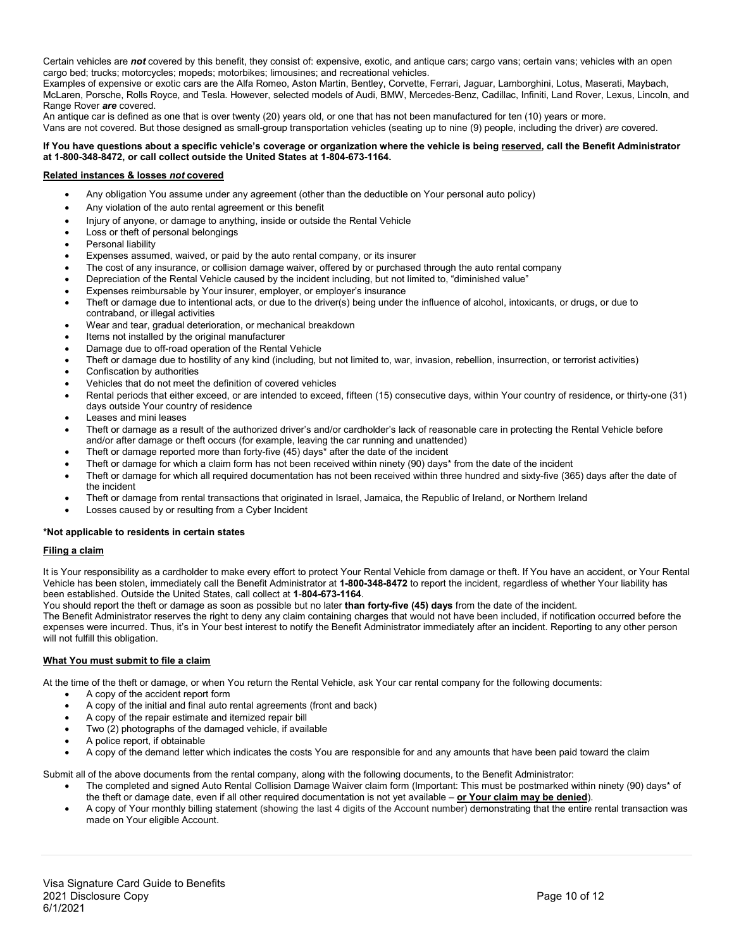Certain vehicles are *not* covered by this benefit, they consist of: expensive, exotic, and antique cars; cargo vans; certain vans; vehicles with an open cargo bed; trucks; motorcycles; mopeds; motorbikes; limousines; and recreational vehicles.

Examples of expensive or exotic cars are the Alfa Romeo, Aston Martin, Bentley, Corvette, Ferrari, Jaguar, Lamborghini, Lotus, Maserati, Maybach, McLaren, Porsche, Rolls Royce, and Tesla. However, selected models of Audi, BMW, Mercedes-Benz, Cadillac, Infiniti, Land Rover, Lexus, Lincoln, and Range Rover *are* covered.

An antique car is defined as one that is over twenty (20) years old, or one that has not been manufactured for ten (10) years or more. Vans are not covered. But those designed as small-group transportation vehicles (seating up to nine (9) people, including the driver) *are* covered.

#### **If You have questions about a specific vehicle's coverage or organization where the vehicle is being reserved, call the Benefit Administrator at 1-800-348-8472, or call collect outside the United States at 1-804-673-1164.**

### **Related instances & losses** *not* **covered**

- Any obligation You assume under any agreement (other than the deductible on Your personal auto policy)
- Any violation of the auto rental agreement or this benefit
- Injury of anyone, or damage to anything, inside or outside the Rental Vehicle
- Loss or theft of personal belongings
- Personal liability
- Expenses assumed, waived, or paid by the auto rental company, or its insurer
- The cost of any insurance, or collision damage waiver, offered by or purchased through the auto rental company
- Depreciation of the Rental Vehicle caused by the incident including, but not limited to, "diminished value"
- Expenses reimbursable by Your insurer, employer, or employer's insurance
- Theft or damage due to intentional acts, or due to the driver(s) being under the influence of alcohol, intoxicants, or drugs, or due to contraband, or illegal activities
- Wear and tear, gradual deterioration, or mechanical breakdown
- Items not installed by the original manufacturer
- Damage due to off-road operation of the Rental Vehicle
- Theft or damage due to hostility of any kind (including, but not limited to, war, invasion, rebellion, insurrection, or terrorist activities)
- Confiscation by authorities
- Vehicles that do not meet the definition of covered vehicles
- Rental periods that either exceed, or are intended to exceed, fifteen (15) consecutive days, within Your country of residence, or thirty-one (31) days outside Your country of residence
- Leases and mini leases
- Theft or damage as a result of the authorized driver's and/or cardholder's lack of reasonable care in protecting the Rental Vehicle before and/or after damage or theft occurs (for example, leaving the car running and unattended)
- Theft or damage reported more than forty-five (45) days\* after the date of the incident
- Theft or damage for which a claim form has not been received within ninety (90) days\* from the date of the incident
- Theft or damage for which all required documentation has not been received within three hundred and sixty-five (365) days after the date of the incident
- Theft or damage from rental transactions that originated in Israel, Jamaica, the Republic of Ireland, or Northern Ireland
- Losses caused by or resulting from a Cyber Incident

#### **\*Not applicable to residents in certain states**

#### **Filing a claim**

It is Your responsibility as a cardholder to make every effort to protect Your Rental Vehicle from damage or theft. If You have an accident, or Your Rental Vehicle has been stolen, immediately call the Benefit Administrator at **1-800-348-8472** to report the incident, regardless of whether Your liability has been established. Outside the United States, call collect at **1**-**804-673-1164**.

You should report the theft or damage as soon as possible but no later **than forty-five (45) days** from the date of the incident.

The Benefit Administrator reserves the right to deny any claim containing charges that would not have been included, if notification occurred before the expenses were incurred. Thus, it's in Your best interest to notify the Benefit Administrator immediately after an incident. Reporting to any other person will not fulfill this obligation.

#### **What You must submit to file a claim**

At the time of the theft or damage, or when You return the Rental Vehicle, ask Your car rental company for the following documents:

- A copy of the accident report form
- A copy of the initial and final auto rental agreements (front and back)
- A copy of the repair estimate and itemized repair bill
- Two (2) photographs of the damaged vehicle, if available
- A police report, if obtainable
- A copy of the demand letter which indicates the costs You are responsible for and any amounts that have been paid toward the claim

Submit all of the above documents from the rental company, along with the following documents, to the Benefit Administrator:

- The completed and signed Auto Rental Collision Damage Waiver claim form (Important: This must be postmarked within ninety (90) days\* of the theft or damage date, even if all other required documentation is not yet available – **or Your claim may be denied**).
- A copy of Your monthly billing statement (showing the last 4 digits of the Account number) demonstrating that the entire rental transaction was made on Your eligible Account.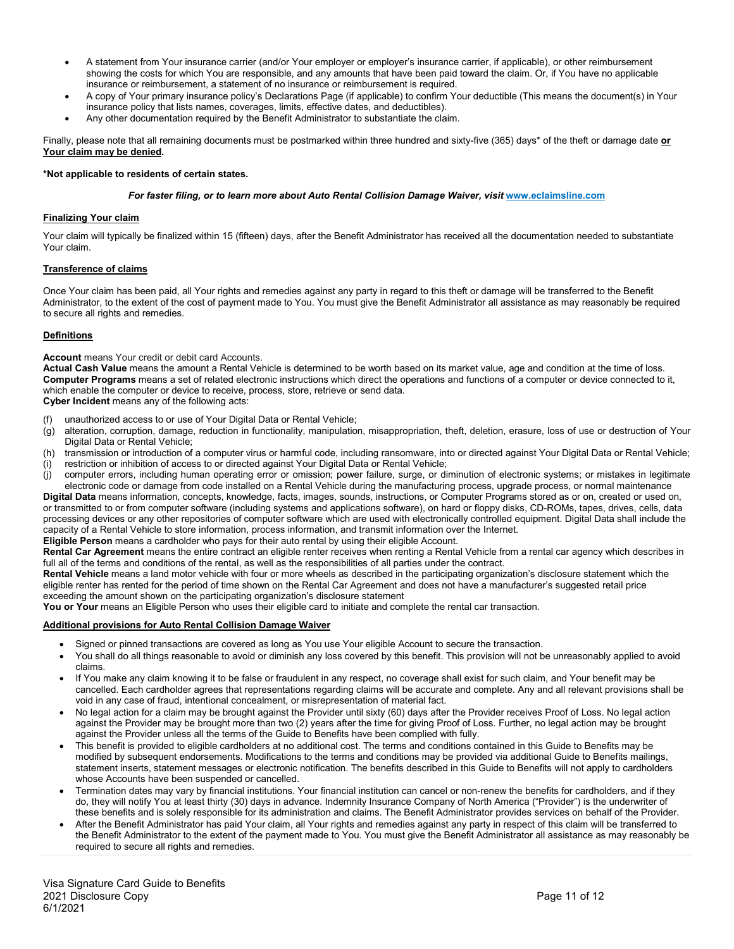- A statement from Your insurance carrier (and/or Your employer or employer's insurance carrier, if applicable), or other reimbursement showing the costs for which You are responsible, and any amounts that have been paid toward the claim. Or, if You have no applicable insurance or reimbursement, a statement of no insurance or reimbursement is required.
- A copy of Your primary insurance policy's Declarations Page (if applicable) to confirm Your deductible (This means the document(s) in Your insurance policy that lists names, coverages, limits, effective dates, and deductibles).
- Any other documentation required by the Benefit Administrator to substantiate the claim.

Finally, please note that all remaining documents must be postmarked within three hundred and sixty-five (365) days\* of the theft or damage date **or Your claim may be denied.**

#### **\*Not applicable to residents of certain states.**

#### *For faster filing, or to learn more about Auto Rental Collision Damage Waiver, visit [www.eclaimsline.com](http://www.eclaimsline.com/)*

#### **Finalizing Your claim**

Your claim will typically be finalized within 15 (fifteen) days, after the Benefit Administrator has received all the documentation needed to substantiate Your claim.

#### **Transference of claims**

Once Your claim has been paid, all Your rights and remedies against any party in regard to this theft or damage will be transferred to the Benefit Administrator, to the extent of the cost of payment made to You. You must give the Benefit Administrator all assistance as may reasonably be required to secure all rights and remedies.

#### **Definitions**

**Account** means Your credit or debit card Accounts.

**Actual Cash Value** means the amount a Rental Vehicle is determined to be worth based on its market value, age and condition at the time of loss. **Computer Programs** means a set of related electronic instructions which direct the operations and functions of a computer or device connected to it, which enable the computer or device to receive, process, store, retrieve or send data.

**Cyber Incident** means any of the following acts:

- unauthorized access to or use of Your Digital Data or Rental Vehicle;
- (g) alteration, corruption, damage, reduction in functionality, manipulation, misappropriation, theft, deletion, erasure, loss of use or destruction of Your Digital Data or Rental Vehicle;
- (h) transmission or introduction of a computer virus or harmful code, including ransomware, into or directed against Your Digital Data or Rental Vehicle;
- (i) restriction or inhibition of access to or directed against Your Digital Data or Rental Vehicle;
- (j) computer errors, including human operating error or omission; power failure, surge, or diminution of electronic systems; or mistakes in legitimate electronic code or damage from code installed on a Rental Vehicle during the manufacturing process, upgrade process, or normal maintenance

**Digital Data** means information, concepts, knowledge, facts, images, sounds, instructions, or Computer Programs stored as or on, created or used on, or transmitted to or from computer software (including systems and applications software), on hard or floppy disks, CD-ROMs, tapes, drives, cells, data processing devices or any other repositories of computer software which are used with electronically controlled equipment. Digital Data shall include the capacity of a Rental Vehicle to store information, process information, and transmit information over the Internet.

**Eligible Person** means a cardholder who pays for their auto rental by using their eligible Account.

**Rental Car Agreement** means the entire contract an eligible renter receives when renting a Rental Vehicle from a rental car agency which describes in full all of the terms and conditions of the rental, as well as the responsibilities of all parties under the contract.

**Rental Vehicle** means a land motor vehicle with four or more wheels as described in the participating organization's disclosure statement which the eligible renter has rented for the period of time shown on the Rental Car Agreement and does not have a manufacturer's suggested retail price exceeding the amount shown on the participating organization's disclosure statement

**You or Your** means an Eligible Person who uses their eligible card to initiate and complete the rental car transaction.

#### **Additional provisions for Auto Rental Collision Damage Waiver**

- Signed or pinned transactions are covered as long as You use Your eligible Account to secure the transaction.
- You shall do all things reasonable to avoid or diminish any loss covered by this benefit. This provision will not be unreasonably applied to avoid claims.
- If You make any claim knowing it to be false or fraudulent in any respect, no coverage shall exist for such claim, and Your benefit may be cancelled. Each cardholder agrees that representations regarding claims will be accurate and complete. Any and all relevant provisions shall be void in any case of fraud, intentional concealment, or misrepresentation of material fact.
- No legal action for a claim may be brought against the Provider until sixty (60) days after the Provider receives Proof of Loss. No legal action against the Provider may be brought more than two (2) years after the time for giving Proof of Loss. Further, no legal action may be brought against the Provider unless all the terms of the Guide to Benefits have been complied with fully.
- This benefit is provided to eligible cardholders at no additional cost. The terms and conditions contained in this Guide to Benefits may be modified by subsequent endorsements. Modifications to the terms and conditions may be provided via additional Guide to Benefits mailings, statement inserts, statement messages or electronic notification. The benefits described in this Guide to Benefits will not apply to cardholders whose Accounts have been suspended or cancelled.
- Termination dates may vary by financial institutions. Your financial institution can cancel or non-renew the benefits for cardholders, and if they do, they will notify You at least thirty (30) days in advance. Indemnity Insurance Company of North America ("Provider") is the underwriter of these benefits and is solely responsible for its administration and claims. The Benefit Administrator provides services on behalf of the Provider.
- After the Benefit Administrator has paid Your claim, all Your rights and remedies against any party in respect of this claim will be transferred to the Benefit Administrator to the extent of the payment made to You. You must give the Benefit Administrator all assistance as may reasonably be required to secure all rights and remedies.